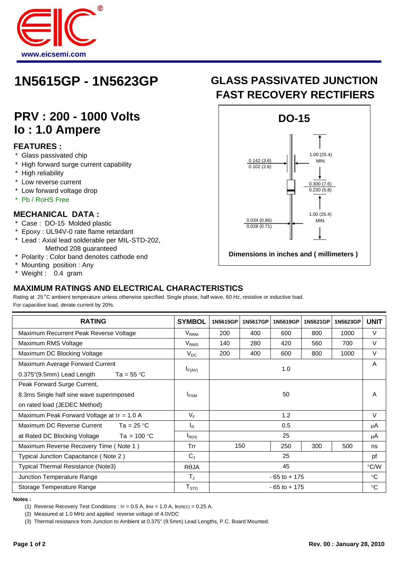

# **1N5615GP - 1N5623GP**

## **PRV : 200 - 1000 Volts Io : 1.0 Ampere**

#### **FEATURES :**

- \* Glass passivated chip
- \* High forward surge current capability
- High reliability
- \* Low reverse current
- Low forward voltage drop
- Pb / RoHS Free

#### **MECHANICAL DATA :**

- \* Case : DO-15 Molded plastic
- \* Epoxy : UL94V-0 rate flame retardant
- \* Lead : Axial lead solderable per MIL-STD-202, Method 208 guaranteed
- \* Polarity : Color band denotes cathode end
- Mounting position : Any
- Weight : 0.4 gram

### **MAXIMUM RATINGS AND ELECTRICAL CHARACTERISTICS**

Rating at 25 °C ambient temperature unless otherwise specified. Single phase, half wave, 60 Hz, resistive or inductive load. For capacitive load, derate current by 20%.

| <b>RATING</b>                                      | <b>SYMBOL</b>    | 1N5615GP        | 1N5617GP | 1N5619GP | 1N5621GP | 1N5623GP | <b>UNIT</b>   |
|----------------------------------------------------|------------------|-----------------|----------|----------|----------|----------|---------------|
| Maximum Recurrent Peak Reverse Voltage             | $V_{RRM}$        | 200             | 400      | 600      | 800      | 1000     | V             |
| Maximum RMS Voltage                                | $V_{RMS}$        | 140             | 280      | 420      | 560      | 700      | V             |
| Maximum DC Blocking Voltage                        | $V_{DC}$         | 200             | 400      | 600      | 800      | 1000     | V             |
| Maximum Average Forward Current                    |                  | 1.0             |          |          |          |          | A             |
| 0.375"(9.5mm) Lead Length<br>Ta = $55^{\circ}$ C   | $I_{F(AV)}$      |                 |          |          |          |          |               |
| Peak Forward Surge Current,                        |                  |                 |          |          |          |          |               |
| 8.3ms Single half sine wave superimposed           | I <sub>FSM</sub> | 50              |          |          |          |          | A             |
| on rated load (JEDEC Method)                       |                  |                 |          |          |          |          |               |
| Maximum Peak Forward Voltage at IF = 1.0 A         | $V_F$            | 1.2             |          |          |          |          | $\vee$        |
| Maximum DC Reverse Current<br>Ta = 25 $^{\circ}$ C | $I_{\rm R}$      | 0.5             |          |          |          |          | μA            |
| Ta = $100 °C$<br>at Rated DC Blocking Voltage      | $I_{R(H)}$       | 25              |          |          |          |          | μA            |
| Maximum Reverse Recovery Time (Note 1)             | Trr              |                 | 150      | 250      | 300      | 500      | ns            |
| Typical Junction Capacitance (Note 2)              | $C_{J}$          | 25              |          |          |          |          | pf            |
| Typical Thermal Resistance (Note3)                 | $R\theta$ JA     | 45              |          |          |          |          | $\degree$ C/W |
| Junction Temperature Range                         | $T_{\rm J}$      | $-65$ to $+175$ |          |          |          |          | $^{\circ}C$   |
| Storage Temperature Range                          | $T_{\text{STG}}$ | $-65$ to $+175$ |          |          |          |          | $^{\circ}C$   |

**Notes :** 

(1) Reverse Recovery Test Conditions : IF = 0.5 A, IRM = 1.0 A, IR(REC) = 0.25 A.

(2) Measured at 1.0 MHz and applied reverse voltage of 4.0VDC

(3) Thermal resistance from Junction to Ambient at 0.375" (9.5mm) Lead Lengths, P.C. Board Mounted.

## **FAST RECOVERY RECTIFIERS GLASS PASSIVATED JUNCTION**